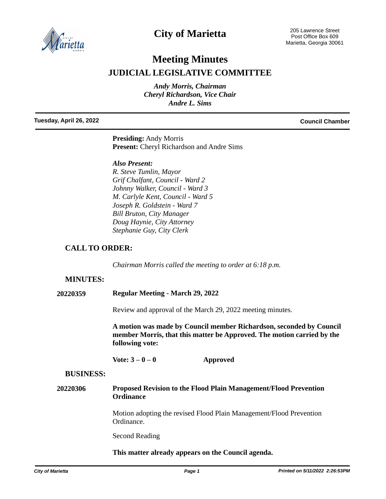

## **City of Marietta**

205 Lawrence Street Post Office Box 609 Marietta, Georgia 30061

# **Meeting Minutes JUDICIAL LEGISLATIVE COMMITTEE**

*Andy Morris, Chairman Cheryl Richardson, Vice Chair Andre L. Sims*

**Tuesday, April 26, 2022 Council Chamber**

**Presiding:** Andy Morris **Present:** Cheryl Richardson and Andre Sims

#### *Also Present:*

*R. Steve Tumlin, Mayor Grif Chalfant, Council - Ward 2 Johnny Walker, Council - Ward 3 M. Carlyle Kent, Council - Ward 5 Joseph R. Goldstein - Ward 7 Bill Bruton, City Manager Doug Haynie, City Attorney Stephanie Guy, City Clerk*

### **CALL TO ORDER:**

*Chairman Morris called the meeting to order at 6:18 p.m.* 

#### **MINUTES:**

**20220359 Regular Meeting - March 29, 2022**

Review and approval of the March 29, 2022 meeting minutes.

**A motion was made by Council member Richardson, seconded by Council member Morris, that this matter be Approved. The motion carried by the following vote:**

**Vote: 3 – 0 – 0 Approved**

#### **BUSINESS:**

#### **20220306 Proposed Revision to the Flood Plain Management/Flood Prevention Ordinance**

Motion adopting the revised Flood Plain Management/Flood Prevention Ordinance.

Second Reading

#### **This matter already appears on the Council agenda.**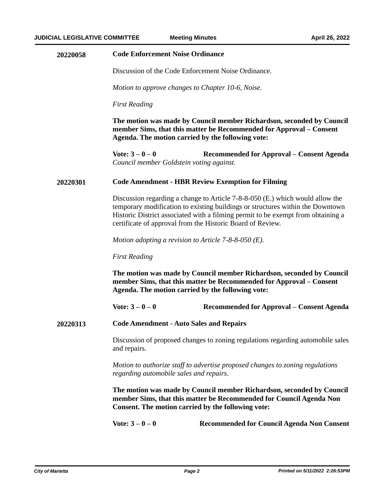| 20220058 | <b>Code Enforcement Noise Ordinance</b><br>Discussion of the Code Enforcement Noise Ordinance.                                                                                                                                                                                                                    |                                                   |
|----------|-------------------------------------------------------------------------------------------------------------------------------------------------------------------------------------------------------------------------------------------------------------------------------------------------------------------|---------------------------------------------------|
|          |                                                                                                                                                                                                                                                                                                                   |                                                   |
|          | Motion to approve changes to Chapter 10-6, Noise.                                                                                                                                                                                                                                                                 |                                                   |
|          | <b>First Reading</b>                                                                                                                                                                                                                                                                                              |                                                   |
|          | The motion was made by Council member Richardson, seconded by Council<br>member Sims, that this matter be Recommended for Approval – Consent<br>Agenda. The motion carried by the following vote:                                                                                                                 |                                                   |
|          | Vote: $3 - 0 - 0$<br>Council member Goldstein voting against.                                                                                                                                                                                                                                                     | Recommended for Approval – Consent Agenda         |
| 20220301 | <b>Code Amendment - HBR Review Exemption for Filming</b>                                                                                                                                                                                                                                                          |                                                   |
|          | Discussion regarding a change to Article 7-8-8-050 (E.) which would allow the<br>temporary modification to existing buildings or structures within the Downtown<br>Historic District associated with a filming permit to be exempt from obtaining a<br>certificate of approval from the Historic Board of Review. |                                                   |
|          | Motion adopting a revision to Article $7-8-8-050$ (E).<br><b>First Reading</b><br>The motion was made by Council member Richardson, seconded by Council<br>member Sims, that this matter be Recommended for Approval - Consent<br>Agenda. The motion carried by the following vote:                               |                                                   |
|          |                                                                                                                                                                                                                                                                                                                   |                                                   |
|          |                                                                                                                                                                                                                                                                                                                   |                                                   |
|          | Vote: $3 - 0 - 0$                                                                                                                                                                                                                                                                                                 | Recommended for Approval – Consent Agenda         |
| 20220313 | <b>Code Amendment - Auto Sales and Repairs</b>                                                                                                                                                                                                                                                                    |                                                   |
|          | Discussion of proposed changes to zoning regulations regarding automobile sales<br>and repairs.                                                                                                                                                                                                                   |                                                   |
|          | Motion to authorize staff to advertise proposed changes to zoning regulations<br>regarding automobile sales and repairs.                                                                                                                                                                                          |                                                   |
|          | The motion was made by Council member Richardson, seconded by Council<br>member Sims, that this matter be Recommended for Council Agenda Non<br>Consent. The motion carried by the following vote:                                                                                                                |                                                   |
|          | Vote: $3 - 0 - 0$                                                                                                                                                                                                                                                                                                 | <b>Recommended for Council Agenda Non Consent</b> |